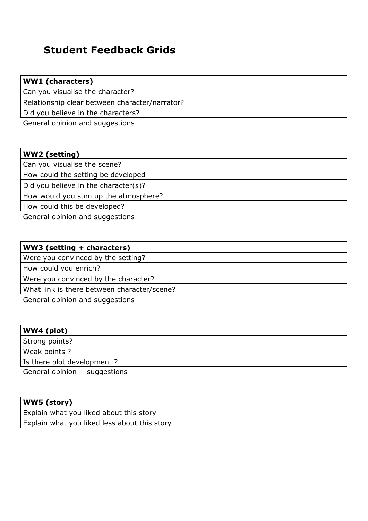## **Student Feedback Grids**

| <b>WW1</b> (characters)                        |  |
|------------------------------------------------|--|
| Can you visualise the character?               |  |
| Relationship clear between character/narrator? |  |
| Did you believe in the characters?             |  |
|                                                |  |

General opinion and suggestions

| <b>WW2</b> (setting)                 |
|--------------------------------------|
| Can you visualise the scene?         |
| How could the setting be developed   |
| Did you believe in the character(s)? |
| How would you sum up the atmosphere? |
| How could this be developed?         |

General opinion and suggestions

| WW3 (setting + characters)                  |  |
|---------------------------------------------|--|
| Were you convinced by the setting?          |  |
| How could you enrich?                       |  |
| Were you convinced by the character?        |  |
| What link is there between character/scene? |  |

General opinion and suggestions

| WW4 (plot)                      |  |
|---------------------------------|--|
| Strong points?                  |  |
| Weak points?                    |  |
| Is there plot development?      |  |
| General opinion $+$ suggestions |  |

| WW5 (story)                                  |
|----------------------------------------------|
| Explain what you liked about this story      |
| Explain what you liked less about this story |